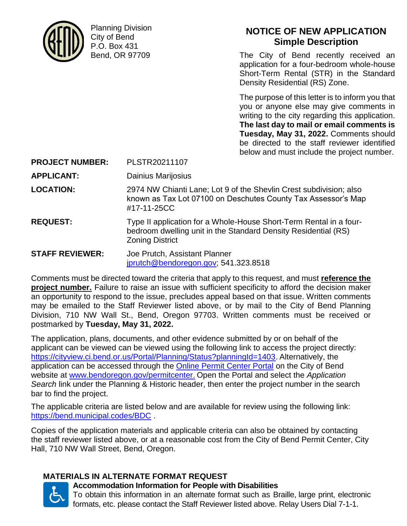

Planning Division City of Bend P.O. Box 431 Bend, OR 97709

# **NOTICE OF NEW APPLICATION Simple Description**

The City of Bend recently received an application for a four-bedroom whole-house Short-Term Rental (STR) in the Standard Density Residential (RS) Zone.

The purpose of this letter is to inform you that you or anyone else may give comments in writing to the city regarding this application. **The last day to mail or email comments is Tuesday, May 31, 2022.** Comments should be directed to the staff reviewer identified below and must include the project number.

**PROJECT NUMBER:** PLSTR20211107

**APPLICANT:** Dainius Marijosius

- **LOCATION:** 2974 NW Chianti Lane; Lot 9 of the Shevlin Crest subdivision; also known as Tax Lot 07100 on Deschutes County Tax Assessor's Map #17-11-25CC
- **REQUEST:** Type II application for a Whole-House Short-Term Rental in a fourbedroom dwelling unit in the Standard Density Residential (RS) Zoning District

**STAFF REVIEWER:** Joe Prutch, Assistant Planner [jprutch@bendoregon.gov;](mailto:jprutch@bendoregon.gov) 541.323.8518

Comments must be directed toward the criteria that apply to this request, and must **reference the project number.** Failure to raise an issue with sufficient specificity to afford the decision maker an opportunity to respond to the issue, precludes appeal based on that issue. Written comments may be emailed to the Staff Reviewer listed above, or by mail to the City of Bend Planning Division, 710 NW Wall St., Bend, Oregon 97703. Written comments must be received or postmarked by **Tuesday, May 31, 2022.**

The application, plans, documents, and other evidence submitted by or on behalf of the applicant can be viewed can be viewed using the following link to access the project directly: [https://cityview.ci.bend.or.us/Portal/Planning/Status?planningId=1403.](https://cityview.ci.bend.or.us/Portal/Planning/Status?planningId=1403) Alternatively, the application can be accessed through the [Online Permit Center Portal](https://cityview.ci.bend.or.us/Portal/) on the City of Bend website at [www.bendoregon.gov/permitcenter.](http://www.bendoregon.gov/permitcenter) Open the Portal and select the *Application Search* link under the Planning & Historic header, then enter the project number in the search bar to find the project.

The applicable criteria are listed below and are available for review using the following link: <https://bend.municipal.codes/BDC> .

Copies of the application materials and applicable criteria can also be obtained by contacting the staff reviewer listed above, or at a reasonable cost from the City of Bend Permit Center, City Hall, 710 NW Wall Street, Bend, Oregon.

# **MATERIALS IN ALTERNATE FORMAT REQUEST**



# **Accommodation Information for People with Disabilities**

To obtain this information in an alternate format such as Braille, large print, electronic formats, etc. please contact the Staff Reviewer listed above. Relay Users Dial 7-1-1.